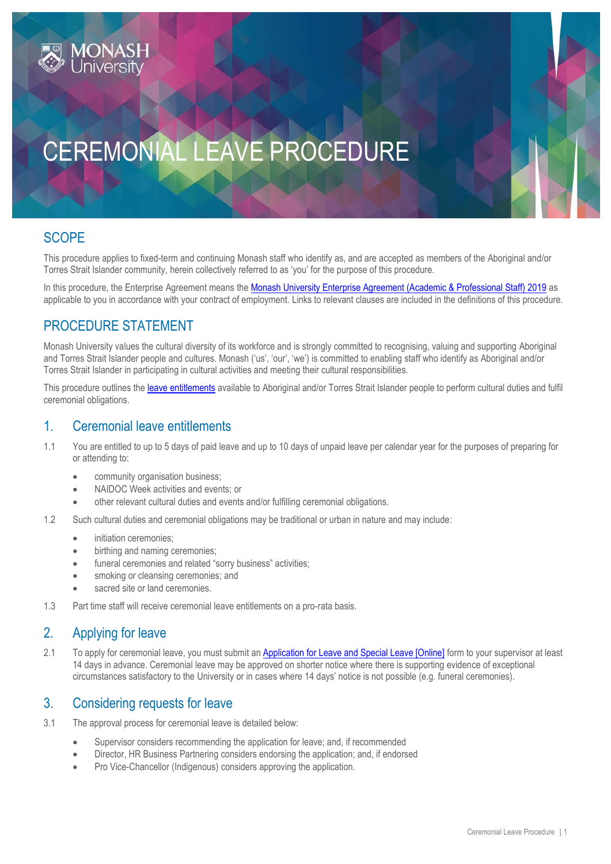# CEREMONIAL LEAVE PROCEDURE

## **SCOPE**

This procedure applies to fixed-term and continuing Monash staff who identify as, and are accepted as members of the Aboriginal and/or Torres Strait Islander community, herein collectively referred to as 'you' for the purpose of this procedure.

In this procedure, the Enterprise Agreement means the [Monash University Enterprise Agreement \(Academic & Professional Staff\) 2019](https://www.monash.edu/current-enterprise-agreements/academic-professional-2019) as applicable to you in accordance with your contract of employment. Links to relevant clauses are included in the definitions of this procedure.

## PROCEDURE STATEMENT

Monash University values the cultural diversity of its workforce and is strongly committed to recognising, valuing and supporting Aboriginal and Torres Strait Islander people and cultures. Monash ('us', 'our', 'we') is committed to enabling staff who identify as Aboriginal and/or Torres Strait Islander in participating in cultural activities and meeting their cultural responsibilities.

This procedure outlines the [leave entitlements](https://www.monash.edu/current-enterprise-agreements/academic-professional-2019#44) available to Aboriginal and/or Torres Strait Islander people to perform cultural duties and fulfil ceremonial obligations.

### 1. Ceremonial leave entitlements

- 1.1 You are entitled to up to 5 days of paid leave and up to 10 days of unpaid leave per calendar year for the purposes of preparing for or attending to:
	- community organisation business;
	- NAIDOC Week activities and events; or
	- other relevant cultural duties and events and/or fulfilling ceremonial obligations.
- 1.2 Such cultural duties and ceremonial obligations may be traditional or urban in nature and may include:
	- initiation ceremonies;
	- birthing and naming ceremonies;
	- funeral ceremonies and related "sorry business" activities;
	- smoking or cleansing ceremonies; and
	- sacred site or land ceremonies.
- 1.3 Part time staff will receive ceremonial leave entitlements on a pro-rata basis.

### 2. Applying for leave

2.1 To apply for ceremonial leave, you must submit an **[Application for Leave and Special Leave \[Online\]](https://www.monash.edu/eforms-resources/frevvo-forms/hr/leave-request)** form to your supervisor at least 14 days in advance. Ceremonial leave may be approved on shorter notice where there is supporting evidence of exceptional circumstances satisfactory to the University or in cases where 14 days' notice is not possible (e.g. funeral ceremonies).

#### 3. Considering requests for leave

- 3.1 The approval process for ceremonial leave is detailed below:
	- Supervisor considers recommending the application for leave; and, if recommended
	- Director, HR Business Partnering considers endorsing the application; and, if endorsed
	- Pro Vice-Chancellor (Indigenous) considers approving the application.